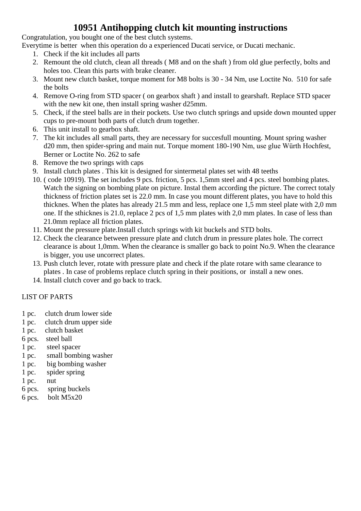#### **10951 Antihopping clutch kit mounting instructions**

Congratulation, you bought one of the best clutch systems.

Everytime is better when this operation do a experienced Ducati service, or Ducati mechanic.

- 1. Check if the kit includes all parts
- 2. Remount the old clutch, clean all threads ( M8 and on the shaft ) from old glue perfectly, bolts and holes too. Clean this parts with brake cleaner.
- 3. Mount new clutch basket, torque moment for M8 bolts is 30 34 Nm, use Loctite No. 510 for safe the bolts
- 4. Remove O-ring from STD spacer ( on gearbox shaft ) and install to gearshaft. Replace STD spacer with the new kit one, then install spring washer d25mm.
- 5. Check, if the steel balls are in their pockets. Use two clutch springs and upside down mounted upper cups to pre-mount both parts of clutch drum together.
- 6. This unit install to gearbox shaft.
- 7. The kit includes all small parts, they are necessary for succesfull mounting. Mount spring washer d20 mm, then spider-spring and main nut. Torque moment 180-190 Nm, use glue Würth Hochfest, Berner or Loctite No. 262 to safe
- 8. Remove the two springs with caps
- 9. Install clutch plates . This kit is designed for sintermetal plates set with 48 teeths
- 10. ( code 10919). The set includes 9 pcs. friction, 5 pcs. 1,5mm steel and 4 pcs. steel bombing plates. Watch the signing on bombing plate on picture. Instal them according the picture. The correct totaly thickness of friction plates set is 22.0 mm. In case you mount different plates, you have to hold this thicknes. When the plates has already 21.5 mm and less, replace one 1,5 mm steel plate with 2,0 mm one. If the sthicknes is 21.0, replace 2 pcs of 1,5 mm plates with 2,0 mm plates. In case of less than 21.0mm replace all friction plates.
- 11. Mount the pressure plate.Install clutch springs with kit buckels and STD bolts.
- 12. Check the clearance between pressure plate and clutch drum in pressure plates hole. The correct clearance is about 1,0mm. When the clearance is smaller go back to point No.9. When the clearance is bigger, you use uncorrect plates.
- 13. Push clutch lever, rotate with pressure plate and check if the plate rotare with same clearance to plates . In case of problems replace clutch spring in their positions, or install a new ones.
- 14. Install clutch cover and go back to track.

#### LIST OF PARTS

- 1 pc. clutch drum lower side
- 1 pc. clutch drum upper side
- 1 pc. clutch basket
- 6 pcs. steel ball
- 1 pc. steel spacer
- 1 pc. small bombing washer
- 1 pc. big bombing washer
- 1 pc. spider spring
- 1 pc. nut
- 6 pcs. spring buckels
- 6 pcs. bolt M5x20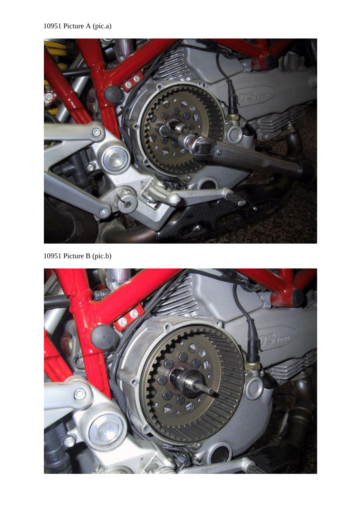

10951 Picture B (pic.b)

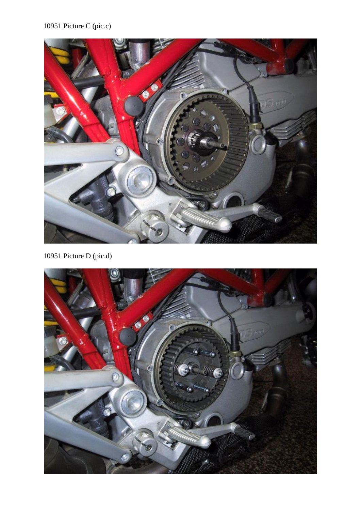## 10951 Picture C (pic.c)



10951 Picture D (pic.d)

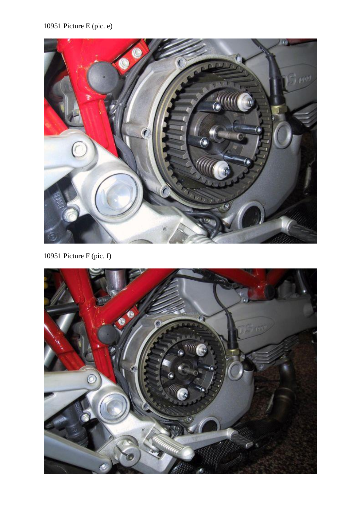## 10951 Picture E (pic. e)



10951 Picture F (pic. f)

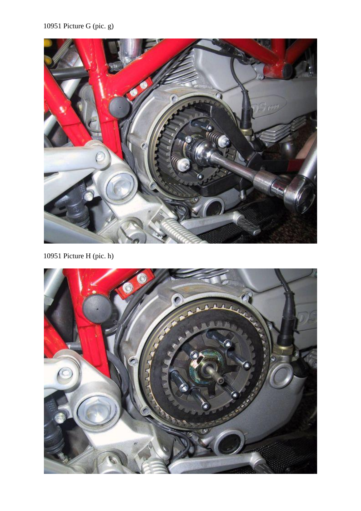# 10951 Picture G (pic. g)



10951 Picture H (pic. h)